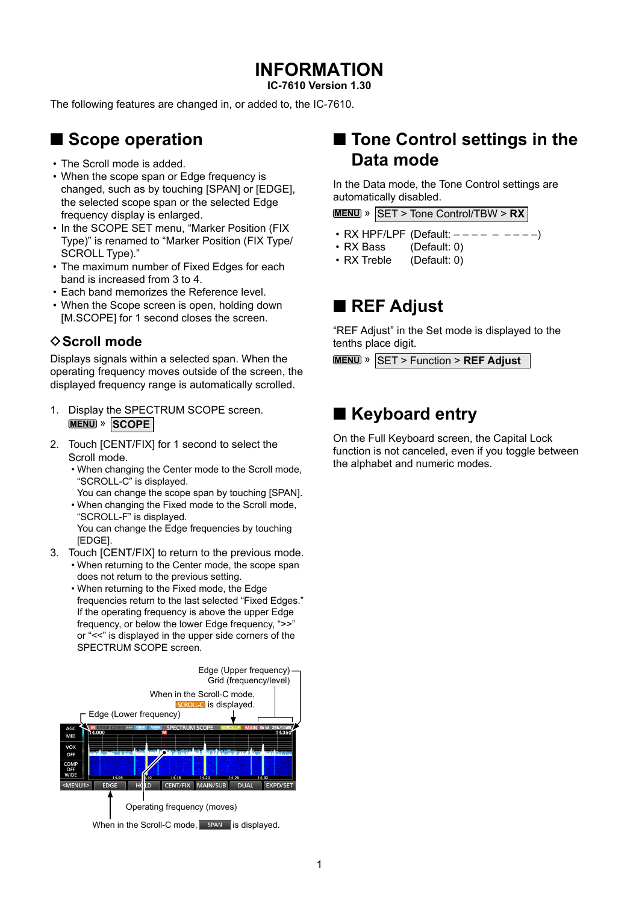# **INFORMATION**

**IC-7610 Version 1.30**

The following features are changed in, or added to, the IC-7610.

## ■ **Scope operation**

- The Scroll mode is added.
- When the scope span or Edge frequency is changed, such as by touching [SPAN] or [EDGE], the selected scope span or the selected Edge frequency display is enlarged.
- In the SCOPE SET menu, "Marker Position (FIX Type)" is renamed to "Marker Position (FIX Type/ SCROLL Type)."
- The maximum number of Fixed Edges for each band is increased from 3 to 4.
- Each band memorizes the Reference level.
- When the Scope screen is open, holding down [M.SCOPE] for 1 second closes the screen.

## **◇ Scroll mode**

Displays signals within a selected span. When the operating frequency moves outside of the screen, the displayed frequency range is automatically scrolled.

- 1. Display the SPECTRUM SCOPE screen. **MENU** » **SCOPE**
- 2. Touch [CENT/FIX] for 1 second to select the Scroll mode.
	- When changing the Center mode to the Scroll mode, "SCROLL-C" is displayed.
	- You can change the scope span by touching [SPAN].
	- When changing the Fixed mode to the Scroll mode, "SCROLL-F" is displayed. You can change the Edge frequencies by touching [EDGE].
- 3. Touch [CENT/FIX] to return to the previous mode.
	- When returning to the Center mode, the scope span does not return to the previous setting.
	- When returning to the Fixed mode, the Edge frequencies return to the last selected "Fixed Edges." If the operating frequency is above the upper Edge frequency, or below the lower Edge frequency, ">>" or "<<" is displayed in the upper side corners of the SPECTRUM SCOPE screen.



When in the Scroll-C mode, span is displayed.

# ■ **Tone Control settings in the Data mode**

In the Data mode, the Tone Control settings are automatically disabled.

**MENU** » SET > Tone Control/TBW > **RX**

- $\cdot$  RX HPF/LPF (Default:  $-$  – –
- RX Bass (Default: 0)
- RX Treble (Default: 0)

## ■ **REF** Adjust

"REF Adjust" in the Set mode is displayed to the tenths place digit.

**MENU** » **SET** > Function > **REF Adjust** 

# ■ **Keyboard entry**

On the Full Keyboard screen, the Capital Lock function is not canceled, even if you toggle between the alphabet and numeric modes.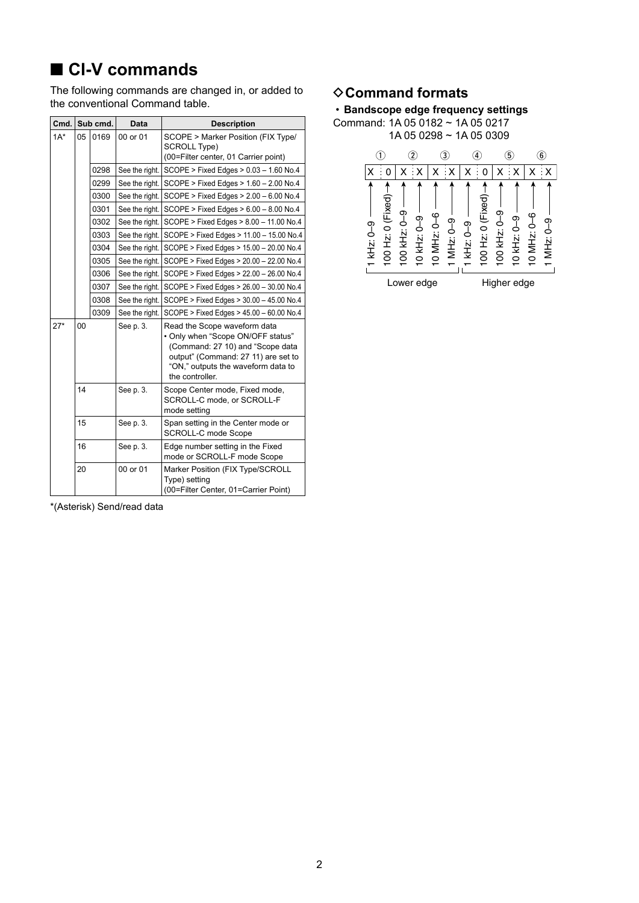# ■ **CI-V** commands

The following commands are changed in, or added to the conventional Command table.

| Cmd.   | Sub cmd. |      | <b>Data</b>    | <b>Description</b>                                                                                                                                                                                    |
|--------|----------|------|----------------|-------------------------------------------------------------------------------------------------------------------------------------------------------------------------------------------------------|
| $1A^*$ | 05       | 0169 | 00 or 01       | SCOPE > Marker Position (FIX Type/<br><b>SCROLL Type)</b><br>(00=Filter center, 01 Carrier point)                                                                                                     |
|        |          | 0298 | See the right. | SCOPE > Fixed Edges > 0.03 - 1.60 No.4                                                                                                                                                                |
|        |          | 0299 | See the right. | SCOPE > Fixed Edges > 1.60 - 2.00 No.4                                                                                                                                                                |
|        |          | 0300 | See the right. | SCOPE > Fixed Edges > 2.00 - 6.00 No.4                                                                                                                                                                |
|        |          | 0301 | See the right. | SCOPE > Fixed Edges > 6.00 - 8.00 No.4                                                                                                                                                                |
|        |          | 0302 | See the right. | SCOPE > Fixed Edges > 8.00 - 11.00 No.4                                                                                                                                                               |
|        |          | 0303 | See the right. | SCOPE > Fixed Edges > 11.00 - 15.00 No.4                                                                                                                                                              |
|        |          | 0304 | See the right. | SCOPE > Fixed Edges > 15.00 - 20.00 No.4                                                                                                                                                              |
|        |          | 0305 | See the right. | SCOPE > Fixed Edges > 20.00 - 22.00 No.4                                                                                                                                                              |
|        |          | 0306 | See the right. | SCOPE > Fixed Edges > 22.00 - 26.00 No.4                                                                                                                                                              |
|        |          | 0307 | See the right. | SCOPE > Fixed Edges > 26.00 - 30.00 No.4                                                                                                                                                              |
|        |          | 0308 | See the right. | SCOPE > Fixed Edges > 30.00 - 45.00 No.4                                                                                                                                                              |
|        |          | 0309 | See the right. | SCOPE > Fixed Edges > 45.00 - 60.00 No.4                                                                                                                                                              |
| $27*$  | 00       |      | See p. 3.      | Read the Scope waveform data<br>. Only when "Scope ON/OFF status"<br>(Command: 27 10) and "Scope data<br>output" (Command: 27 11) are set to<br>"ON," outputs the waveform data to<br>the controller. |
|        | 14       |      | See p. 3.      | Scope Center mode, Fixed mode,<br>SCROLL-C mode, or SCROLL-F<br>mode setting                                                                                                                          |
|        | 15       |      | See p. 3.      | Span setting in the Center mode or<br><b>SCROLL-C mode Scope</b>                                                                                                                                      |
|        | 16       |      | See p. 3.      | Edge number setting in the Fixed<br>mode or SCROLL-F mode Scope                                                                                                                                       |
|        | 20       |      | 00 or 01       | Marker Position (FIX Type/SCROLL<br>Type) setting<br>(00=Filter Center, 01=Carrier Point)                                                                                                             |

## **♦ Command formats**



\*(Asterisk) Send/read data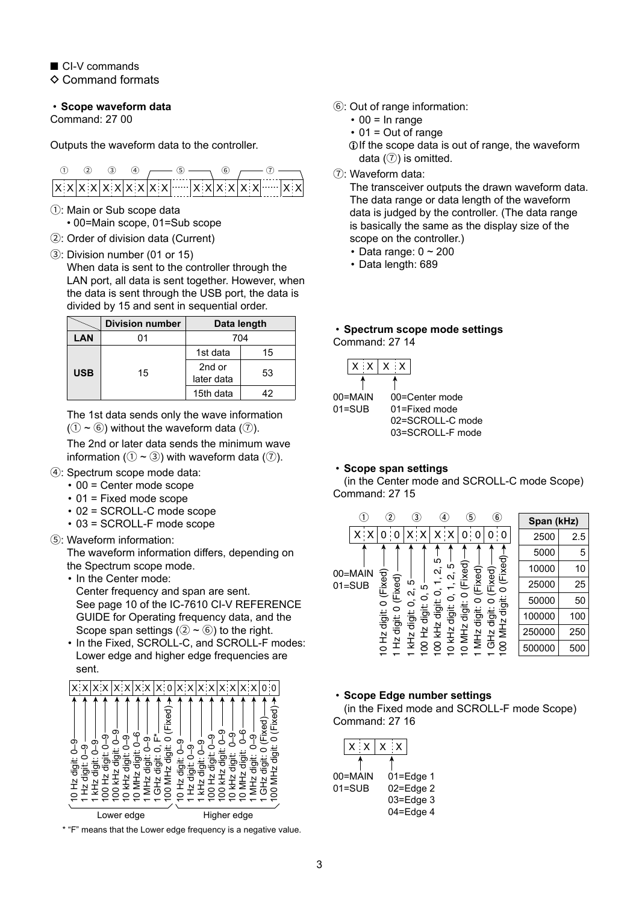■ CI-V commands  $\Diamond$  Command formats

### <span id="page-2-0"></span>• **Scope waveform data**

Command: 27 00

Outputs the waveform data to the controller.

- 1: Main or Sub scope data • 00=Main scope, 01=Sub scope
- 2: Order of division data (Current)
- 3: Division number (01 or 15)
	- When data is sent to the controller through the LAN port, all data is sent together. However, when the data is sent through the USB port, the data is divided by 15 and sent in sequential order.

|            | <b>Division number</b> | Data length          |    |  |
|------------|------------------------|----------------------|----|--|
| LAN        |                        | 704                  |    |  |
| <b>USB</b> |                        | 1st data             | 15 |  |
|            | 15                     | 2nd or<br>later data | 53 |  |
|            |                        | 15th data            | 42 |  |

The 1st data sends only the wave information  $(1 - \mathbf{6})$  without the waveform data  $(2)$ .

The 2nd or later data sends the minimum wave information ( $(1 \sim 3)$ ) with waveform data ( $(7)$ ).

- 4: Spectrum scope mode data:
	- 00 = Center mode scope
	- 01 = Fixed mode scope
	- 02 = SCROLL-C mode scope
	- 03 = SCROLL-F mode scope
- 5: Waveform information:

The waveform information differs, depending on the Spectrum scope mode.

- In the Center mode:
- Center frequency and span are sent. See page 10 of the IC-7610 CI-V REFERENCE GUIDE for Operating frequency data, and the Scope span settings  $(2) \sim (6)$  to the right.
- In the Fixed, SCROLL-C, and SCROLL-F modes: Lower edge and higher edge frequencies are sent.



\* "F" means that the Lower edge frequency is a negative value.

- 6: Out of range information:
	- $\cdot$  00 = In range
	- $\cdot$  01 = Out of range
	- LIf the scope data is out of range, the waveform data  $(③)$  is omitted.
- 7: Waveform data:

The transceiver outputs the drawn waveform data. The data range or data length of the waveform data is judged by the controller. (The data range is basically the same as the display size of the scope on the controller.)

- Data range:  $0 \sim 200$
- Data length: 689

### <span id="page-2-1"></span>• **Spectrum scope mode settings** Command: 27 14

|            | $\vert$ x $\vert$ x $\vert$ x $\vert$ x $\vert$ |
|------------|-------------------------------------------------|
|            |                                                 |
| 00=MAIN    | 00=Center mode                                  |
| $01 = SUB$ | $01 =$ Fixed mode                               |
|            | 02=SCROLL-C mode                                |
|            | 03=SCROLL-F mode                                |

### <span id="page-2-2"></span>• **Scope span settings**

(in the Center mode and SCROLL-C mode Scope) Command: 27 15

|  |                       | $\mathbf{2}$         |                           | $\left(3\right)$                                                        | $\overline{4}$                  | 5               | $\widehat{\mathbf{6}}$ | Span (kHz) |     |
|--|-----------------------|----------------------|---------------------------|-------------------------------------------------------------------------|---------------------------------|-----------------|------------------------|------------|-----|
|  | X∷                    |                      | 0                         | ۰x                                                                      | ۰x                              | 0<br>0          | 0                      | 2500       | 2.5 |
|  |                       |                      |                           |                                                                         |                                 |                 |                        | 5000       | 5   |
|  | 00=MAIN               |                      |                           |                                                                         | ю<br>Ю<br>$\tilde{\mathcal{L}}$ | Fixed)<br>ixed) | (Fixed)-               | 10000      | 10  |
|  | $01 = SUB$            | (Fixed)              | (Fixed)                   | Ю<br>ഥ                                                                  |                                 | ū.              | Fixed)<br>◯            | 25000      | 25  |
|  |                       | $\breve{\circ}$<br>0 | N<br>っ<br>◯               | ⌒<br>digit:<br>digit:<br>ig<br>To<br>MH <sub>z</sub><br>MH <sub>Z</sub> | digit                           | 50000           | 50                     |            |     |
|  | 0 Hz digit:<br>digit: | tigit:               | igi<br>To<br>digit:       |                                                                         |                                 | 100000          | 100                    |            |     |
|  |                       |                      | digit:<br>kHz<br>샆<br>kHz |                                                                         | <b>NHZ</b><br>GH <sub>2</sub>   | 250000          | 250                    |            |     |
|  |                       | ÷                    | 소                         | 소구                                                                      | 8                               | Õ               | 8                      | 500000     | 500 |

### <span id="page-2-3"></span>• **Scope Edge number settings**

(in the Fixed mode and SCROLL-F mode Scope) Command: 27 16

| x : x      | $X \times$    |
|------------|---------------|
|            |               |
| 00=MAIN    | $01 = Edge 1$ |
| $01 = SUB$ | 02=Edge 2     |
|            | 03=Edge 3     |
|            | $04 =$ Edge 4 |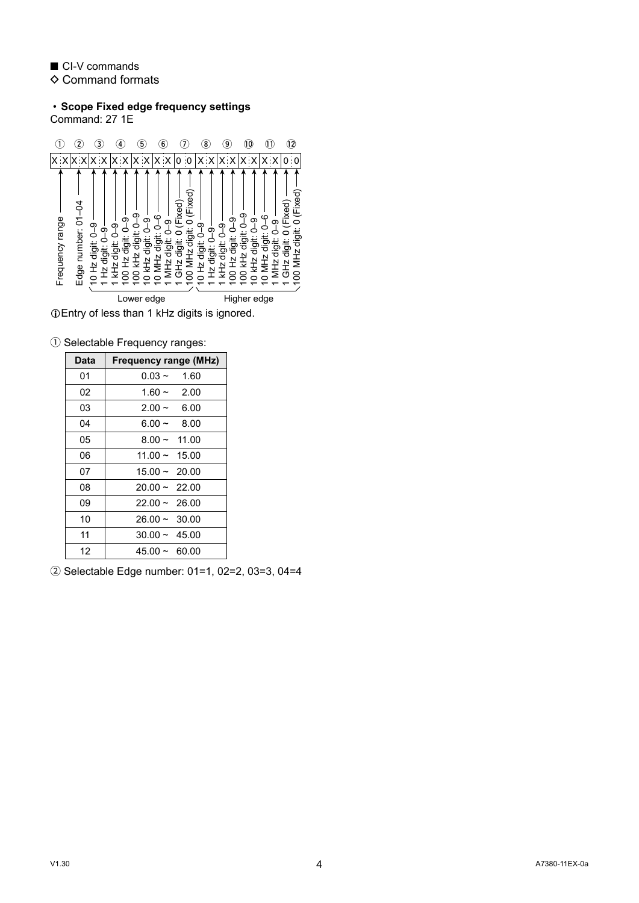■ CI-V commands  $\diamond$  Command formats

• **Scope Fixed edge frequency settings** Command: 27 1E



1 Selectable Frequency ranges:

| Data | <b>Frequency range (MHz)</b> |
|------|------------------------------|
| 01   | $0.03 - 1.60$                |
| 02   | $1.60 - 2.00$                |
| 03   | $2.00 -$<br>6.00             |
| 04   | $6.00 - 8.00$                |
| 05   | $8.00 - 11.00$               |
| 06   | $11.00 \sim 15.00$           |
| 07   | $15.00 \sim 20.00$           |
| 08   | $20.00 \sim 22.00$           |
| 09   | $22.00 \sim 26.00$           |
| 10   | $26.00 \sim 30.00$           |
| 11   | $30.00 \sim 45.00$           |
| 12   | $45.00 \sim 60.00$           |

2 Selectable Edge number: 01=1, 02=2, 03=3, 04=4